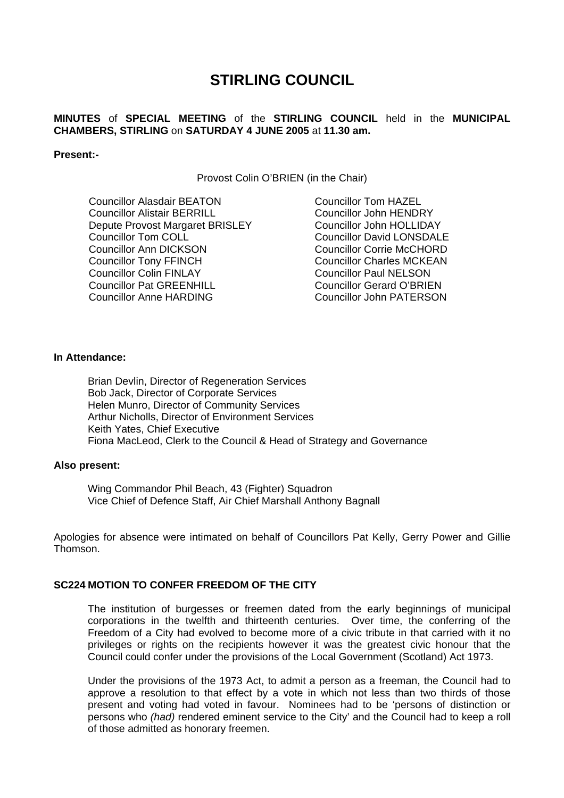# **STIRLING COUNCIL**

# **MINUTES** of **SPECIAL MEETING** of the **STIRLING COUNCIL** held in the **MUNICIPAL CHAMBERS, STIRLING** on **SATURDAY 4 JUNE 2005** at **11.30 am.**

#### **Present:-**

Provost Colin O'BRIEN (in the Chair)

Councillor Alasdair BEATON Councillor Alistair BERRILL Depute Provost Margaret BRISLEY Councillor Tom COLL Councillor Ann DICKSON Councillor Tony FFINCH Councillor Colin FINLAY Councillor Pat GREENHILL Councillor Anne HARDING

Councillor Tom HAZEL Councillor John HENDRY Councillor John HOLLIDAY Councillor David LONSDALE Councillor Corrie McCHORD Councillor Charles MCKEAN Councillor Paul NELSON Councillor Gerard O'BRIEN Councillor John PATERSON

# **In Attendance:**

Brian Devlin, Director of Regeneration Services Bob Jack, Director of Corporate Services Helen Munro, Director of Community Services Arthur Nicholls, Director of Environment Services Keith Yates, Chief Executive Fiona MacLeod, Clerk to the Council & Head of Strategy and Governance

## **Also present:**

Wing Commandor Phil Beach, 43 (Fighter) Squadron Vice Chief of Defence Staff, Air Chief Marshall Anthony Bagnall

Apologies for absence were intimated on behalf of Councillors Pat Kelly, Gerry Power and Gillie Thomson.

## **SC224 MOTION TO CONFER FREEDOM OF THE CITY**

The institution of burgesses or freemen dated from the early beginnings of municipal corporations in the twelfth and thirteenth centuries. Over time, the conferring of the Freedom of a City had evolved to become more of a civic tribute in that carried with it no privileges or rights on the recipients however it was the greatest civic honour that the Council could confer under the provisions of the Local Government (Scotland) Act 1973.

Under the provisions of the 1973 Act, to admit a person as a freeman, the Council had to approve a resolution to that effect by a vote in which not less than two thirds of those present and voting had voted in favour. Nominees had to be 'persons of distinction or persons who *(had)* rendered eminent service to the City' and the Council had to keep a roll of those admitted as honorary freemen.